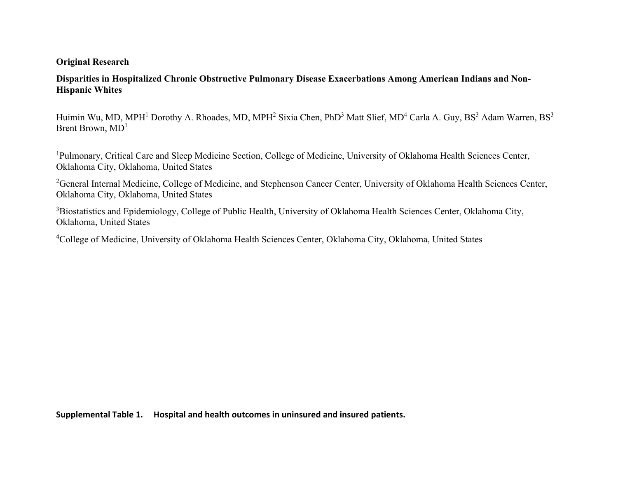## **Original Research**

## **Disparities in Hospitalized Chronic Obstructive Pulmonary Disease Exacerbations Among American Indians and Non-Hispanic Whites**

Huimin Wu, MD, MPH<sup>1</sup> Dorothy A. Rhoades, MD, MPH<sup>2</sup> Sixia Chen, PhD<sup>3</sup> Matt Slief, MD<sup>4</sup> Carla A. Guy, BS<sup>3</sup> Adam Warren, BS<sup>3</sup> Brent Brown, MD<sup>1</sup>

<sup>1</sup>Pulmonary, Critical Care and Sleep Medicine Section, College of Medicine, University of Oklahoma Health Sciences Center, Oklahoma City, Oklahoma, United States

<sup>2</sup>General Internal Medicine, College of Medicine, and Stephenson Cancer Center, University of Oklahoma Health Sciences Center, Oklahoma City, Oklahoma, United States

<sup>3</sup>Biostatistics and Epidemiology, College of Public Health, University of Oklahoma Health Sciences Center, Oklahoma City, Oklahoma, United States

<sup>4</sup>College of Medicine, University of Oklahoma Health Sciences Center, Oklahoma City, Oklahoma, United States

**Supplemental Table 1. Hospital and health outcomes in uninsured and insured patients.**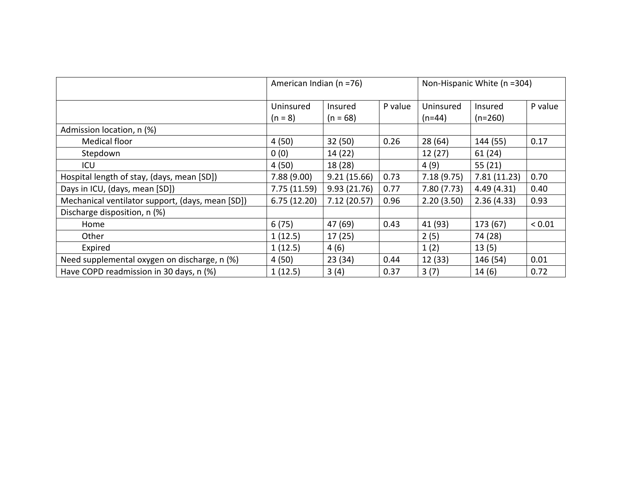|                                                  | American Indian (n =76) |              |         | Non-Hispanic White (n =304) |              |             |
|--------------------------------------------------|-------------------------|--------------|---------|-----------------------------|--------------|-------------|
|                                                  | Uninsured               | Insured      | P value | Uninsured                   | Insured      | P value     |
|                                                  | $(n = 8)$               | $(n = 68)$   |         | $(n=44)$                    | $(n=260)$    |             |
| Admission location, n (%)                        |                         |              |         |                             |              |             |
| <b>Medical floor</b>                             | 4(50)                   | 32(50)       | 0.26    | 28(64)                      | 144 (55)     | 0.17        |
| Stepdown                                         | 0(0)                    | 14 (22)      |         | 12(27)                      | 61(24)       |             |
| ICU                                              | 4(50)                   | 18 (28)      |         | 4(9)                        | 55(21)       |             |
| Hospital length of stay, (days, mean [SD])       | 7.88(9.00)              | 9.21(15.66)  | 0.73    | 7.18(9.75)                  | 7.81 (11.23) | 0.70        |
| Days in ICU, (days, mean [SD])                   | 7.75(11.59)             | 9.93 (21.76) | 0.77    | 7.80(7.73)                  | 4.49(4.31)   | 0.40        |
| Mechanical ventilator support, (days, mean [SD]) | 6.75(12.20)             | 7.12 (20.57) | 0.96    | 2.20(3.50)                  | 2.36(4.33)   | 0.93        |
| Discharge disposition, n (%)                     |                         |              |         |                             |              |             |
| Home                                             | 6(75)                   | 47 (69)      | 0.43    | 41 (93)                     | 173 (67)     | ${}_{0.01}$ |
| Other                                            | 1(12.5)                 | 17(25)       |         | 2(5)                        | 74 (28)      |             |
| Expired                                          | 1(12.5)                 | 4(6)         |         | 1(2)                        | 13(5)        |             |
| Need supplemental oxygen on discharge, n (%)     | 4 (50)                  | 23(34)       | 0.44    | 12 (33)                     | 146 (54)     | 0.01        |
| Have COPD readmission in 30 days, n (%)          | 1(12.5)                 | 3(4)         | 0.37    | 3(7)                        | 14(6)        | 0.72        |